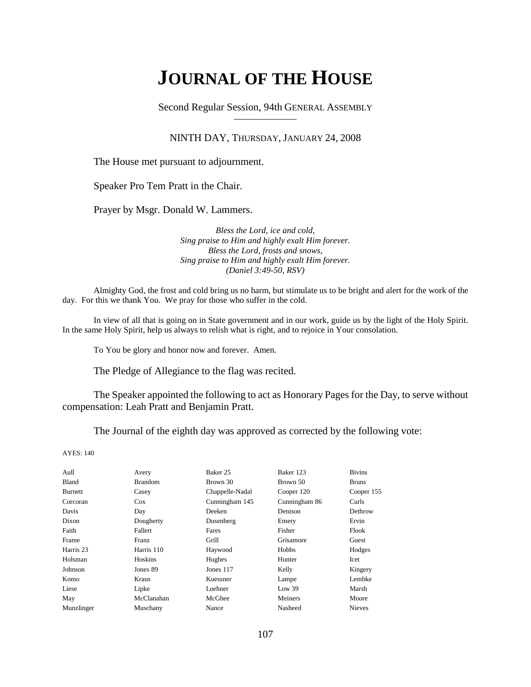# **JOURNAL OF THE HOUSE**

Second Regular Session, 94th GENERAL ASSEMBLY

#### NINTH DAY, THURSDAY, JANUARY 24, 2008

The House met pursuant to adjournment.

Speaker Pro Tem Pratt in the Chair.

Prayer by Msgr. Donald W. Lammers.

*Bless the Lord, ice and cold, Sing praise to Him and highly exalt Him forever. Bless the Lord, frosts and snows, Sing praise to Him and highly exalt Him forever. (Daniel 3:49-50, RSV)*

Almighty God, the frost and cold bring us no harm, but stimulate us to be bright and alert for the work of the day. For this we thank You. We pray for those who suffer in the cold.

In view of all that is going on in State government and in our work, guide us by the light of the Holy Spirit. In the same Holy Spirit, help us always to relish what is right, and to rejoice in Your consolation.

To You be glory and honor now and forever. Amen.

The Pledge of Allegiance to the flag was recited.

The Speaker appointed the following to act as Honorary Pages for the Day, to serve without compensation: Leah Pratt and Benjamin Pratt.

The Journal of the eighth day was approved as corrected by the following vote:

AYES: 140

| Aull           | Avery          | Baker 25        | Baker 123     | <b>Bivins</b> |
|----------------|----------------|-----------------|---------------|---------------|
| Bland          | <b>Brandom</b> | Brown 30        | Brown 50      | <b>Bruns</b>  |
| <b>Burnett</b> | Casey          | Chappelle-Nadal | Cooper 120    | Cooper 155    |
| Corcoran       | $\cos$         | Cunningham 145  | Cunningham 86 | Curls         |
| Davis          | Day            | Deeken          | Denison       | Dethrow       |
| Dixon          | Dougherty      | Dusenberg       | Emery         | Ervin         |
| Faith          | Fallert        | Fares           | Fisher        | Flook         |
| Frame          | <b>Franz</b>   | Grill           | Grisamore     | Guest         |
| Harris 23      | Harris 110     | Haywood         | Hobbs         | Hodges        |
| Holsman        | Hoskins        | Hughes          | Hunter        | Icet          |
| Johnson        | Jones 89       | Jones $117$     | Kelly         | Kingery       |
| Komo           | Kraus          | Kuessner        | Lampe         | Lembke        |
| Liese          | Lipke          | Loehner         | Low 39        | Marsh         |
| May            | McClanahan     | McGhee          | Meiners       | Moore         |
| Munzlinger     | Muschany       | Nance           | Nasheed       | <b>Nieves</b> |
|                |                |                 |               |               |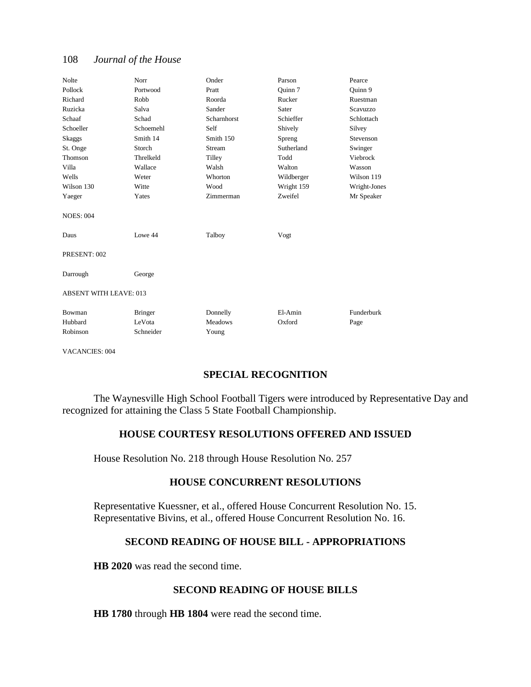| Nolte                         | Norr           | Onder          | Parson     | Pearce       |
|-------------------------------|----------------|----------------|------------|--------------|
| Pollock                       | Portwood       | Pratt          | Ouinn 7    | Ouinn 9      |
| Richard                       | Robb           | Roorda         | Rucker     | Ruestman     |
| Ruzicka                       | Salva          | Sander         | Sater      | Scavuzzo     |
| Schaaf                        | Schad          | Scharnhorst    | Schieffer  | Schlottach   |
| Schoeller                     | Schoemehl      | Self           | Shively    | Silvey       |
| Skaggs                        | Smith 14       | Smith 150      | Spreng     | Stevenson    |
| St. Onge                      | Storch         | Stream         | Sutherland | Swinger      |
| Thomson                       | Threlkeld      | Tilley         | Todd       | Viebrock     |
| Villa                         | Wallace        | Walsh          | Walton     | Wasson       |
| Wells                         | Weter          | Whorton        | Wildberger | Wilson 119   |
| Wilson 130                    | Witte          | Wood           | Wright 159 | Wright-Jones |
| Yaeger                        | Yates          | Zimmerman      | Zweifel    | Mr Speaker   |
| <b>NOES: 004</b>              |                |                |            |              |
| Daus                          | Lowe 44        | Talboy         | Vogt       |              |
| PRESENT: 002                  |                |                |            |              |
| Darrough                      | George         |                |            |              |
| <b>ABSENT WITH LEAVE: 013</b> |                |                |            |              |
| Bowman                        | <b>Bringer</b> | Donnelly       | El-Amin    | Funderburk   |
| Hubbard                       | LeVota         | <b>Meadows</b> | Oxford     | Page         |
| Robinson                      | Schneider      | Young          |            |              |

VACANCIES: 004

# **SPECIAL RECOGNITION**

The Waynesville High School Football Tigers were introduced by Representative Day and recognized for attaining the Class 5 State Football Championship.

# **HOUSE COURTESY RESOLUTIONS OFFERED AND ISSUED**

House Resolution No. 218 through House Resolution No. 257

## **HOUSE CONCURRENT RESOLUTIONS**

Representative Kuessner, et al., offered House Concurrent Resolution No. 15. Representative Bivins, et al., offered House Concurrent Resolution No. 16.

# **SECOND READING OF HOUSE BILL - APPROPRIATIONS**

**HB 2020** was read the second time.

## **SECOND READING OF HOUSE BILLS**

**HB 1780** through **HB 1804** were read the second time.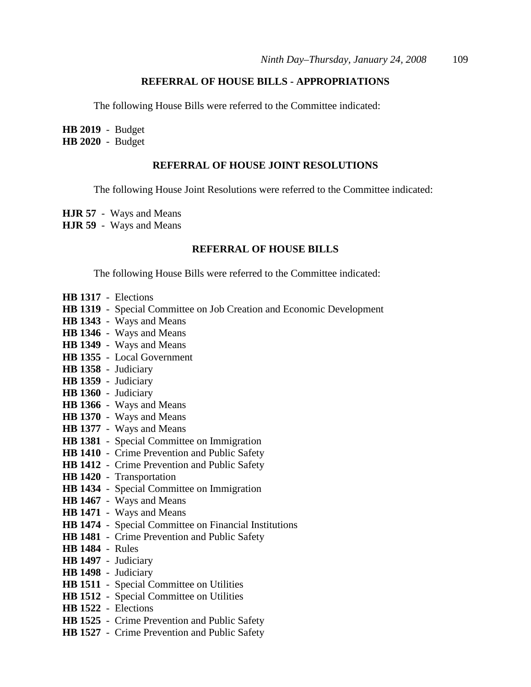## **REFERRAL OF HOUSE BILLS - APPROPRIATIONS**

The following House Bills were referred to the Committee indicated:

**HB 2019** - Budget **HB 2020** - Budget

#### **REFERRAL OF HOUSE JOINT RESOLUTIONS**

The following House Joint Resolutions were referred to the Committee indicated:

- **HJR 57** Ways and Means
- **HJR 59** Ways and Means

#### **REFERRAL OF HOUSE BILLS**

The following House Bills were referred to the Committee indicated:

- **HB 1317** Elections
- **HB 1319** Special Committee on Job Creation and Economic Development
- **HB 1343** Ways and Means
- **HB 1346** Ways and Means
- **HB 1349** Ways and Means
- **HB 1355** Local Government
- **HB 1358** Judiciary
- **HB 1359** Judiciary
- **HB 1360** Judiciary
- **HB 1366** Ways and Means
- **HB 1370** Ways and Means
- **HB 1377** Ways and Means
- **HB 1381** Special Committee on Immigration
- **HB 1410** Crime Prevention and Public Safety
- **HB 1412** Crime Prevention and Public Safety
- **HB 1420** Transportation
- **HB 1434** Special Committee on Immigration
- **HB 1467** Ways and Means
- **HB 1471** Ways and Means
- **HB 1474** Special Committee on Financial Institutions
- **HB 1481** Crime Prevention and Public Safety
- **HB 1484** Rules
- **HB 1497** Judiciary
- **HB 1498** Judiciary
- **HB 1511** Special Committee on Utilities
- **HB 1512** Special Committee on Utilities
- **HB 1522** Elections
- **HB 1525** Crime Prevention and Public Safety
- **HB 1527** Crime Prevention and Public Safety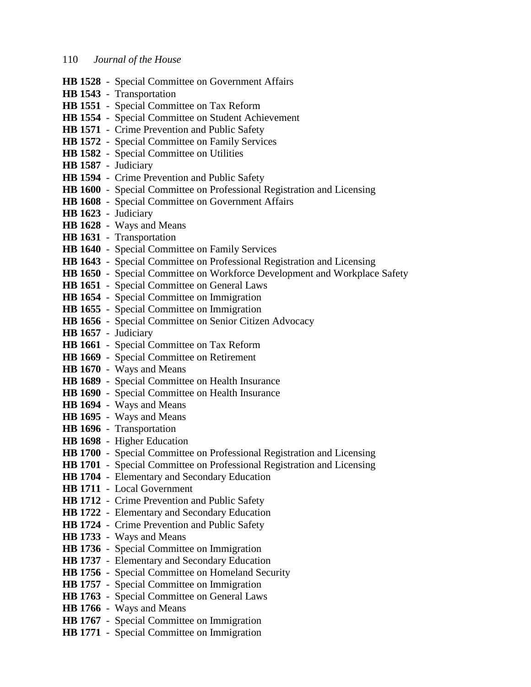- **HB 1528** Special Committee on Government Affairs **HB 1543** - Transportation **HB 1551** - Special Committee on Tax Reform **HB 1554** - Special Committee on Student Achievement **HB 1571** - Crime Prevention and Public Safety **HB 1572** - Special Committee on Family Services **HB 1582** - Special Committee on Utilities **HB 1587** - Judiciary **HB 1594** - Crime Prevention and Public Safety **HB 1600** - Special Committee on Professional Registration and Licensing **HB 1608** - Special Committee on Government Affairs **HB 1623** - Judiciary **HB 1628** - Ways and Means **HB 1631** - Transportation **HB 1640** - Special Committee on Family Services **HB 1643** - Special Committee on Professional Registration and Licensing **HB 1650** - Special Committee on Workforce Development and Workplace Safety **HB 1651** - Special Committee on General Laws **HB 1654** - Special Committee on Immigration **HB 1655** - Special Committee on Immigration **HB 1656** - Special Committee on Senior Citizen Advocacy **HB 1657** - Judiciary **HB 1661** - Special Committee on Tax Reform **HB 1669** - Special Committee on Retirement **HB 1670** - Ways and Means **HB 1689** - Special Committee on Health Insurance **HB 1690** - Special Committee on Health Insurance **HB 1694** - Ways and Means **HB 1695** - Ways and Means **HB 1696** - Transportation **HB 1698** - Higher Education **HB 1700** - Special Committee on Professional Registration and Licensing **HB 1701** - Special Committee on Professional Registration and Licensing **HB 1704** - Elementary and Secondary Education **HB 1711** - Local Government **HB 1712** - Crime Prevention and Public Safety **HB 1722** - Elementary and Secondary Education **HB 1724** - Crime Prevention and Public Safety **HB 1733** - Ways and Means **HB 1736** - Special Committee on Immigration **HB 1737** - Elementary and Secondary Education **HB 1756** - Special Committee on Homeland Security **HB 1757** - Special Committee on Immigration **HB 1763** - Special Committee on General Laws **HB 1766** - Ways and Means **HB 1767** - Special Committee on Immigration
- **HB 1771** Special Committee on Immigration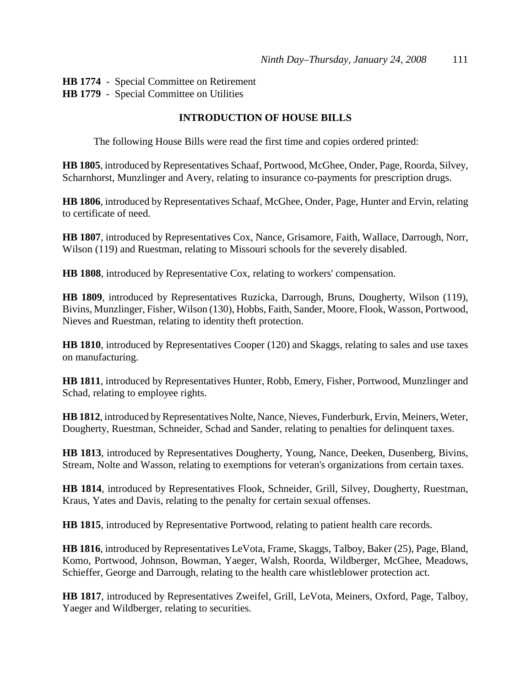**HB 1774** - Special Committee on Retirement **HB 1779** - Special Committee on Utilities

## **INTRODUCTION OF HOUSE BILLS**

The following House Bills were read the first time and copies ordered printed:

**HB 1805**, introduced by Representatives Schaaf, Portwood, McGhee, Onder, Page, Roorda, Silvey, Scharnhorst, Munzlinger and Avery, relating to insurance co-payments for prescription drugs.

**HB 1806**, introduced by Representatives Schaaf, McGhee, Onder, Page, Hunter and Ervin, relating to certificate of need.

**HB 1807**, introduced by Representatives Cox, Nance, Grisamore, Faith, Wallace, Darrough, Norr, Wilson (119) and Ruestman, relating to Missouri schools for the severely disabled.

**HB 1808**, introduced by Representative Cox, relating to workers' compensation.

**HB 1809**, introduced by Representatives Ruzicka, Darrough, Bruns, Dougherty, Wilson (119), Bivins, Munzlinger, Fisher, Wilson (130), Hobbs, Faith, Sander, Moore, Flook, Wasson, Portwood, Nieves and Ruestman, relating to identity theft protection.

**HB 1810**, introduced by Representatives Cooper (120) and Skaggs, relating to sales and use taxes on manufacturing.

**HB 1811**, introduced by Representatives Hunter, Robb, Emery, Fisher, Portwood, Munzlinger and Schad, relating to employee rights.

**HB 1812**, introduced by Representatives Nolte, Nance, Nieves, Funderburk, Ervin, Meiners, Weter, Dougherty, Ruestman, Schneider, Schad and Sander, relating to penalties for delinquent taxes.

**HB 1813**, introduced by Representatives Dougherty, Young, Nance, Deeken, Dusenberg, Bivins, Stream, Nolte and Wasson, relating to exemptions for veteran's organizations from certain taxes.

**HB 1814**, introduced by Representatives Flook, Schneider, Grill, Silvey, Dougherty, Ruestman, Kraus, Yates and Davis, relating to the penalty for certain sexual offenses.

**HB 1815**, introduced by Representative Portwood, relating to patient health care records.

**HB 1816**, introduced by Representatives LeVota, Frame, Skaggs, Talboy, Baker (25), Page, Bland, Komo, Portwood, Johnson, Bowman, Yaeger, Walsh, Roorda, Wildberger, McGhee, Meadows, Schieffer, George and Darrough, relating to the health care whistleblower protection act.

**HB 1817**, introduced by Representatives Zweifel, Grill, LeVota, Meiners, Oxford, Page, Talboy, Yaeger and Wildberger, relating to securities.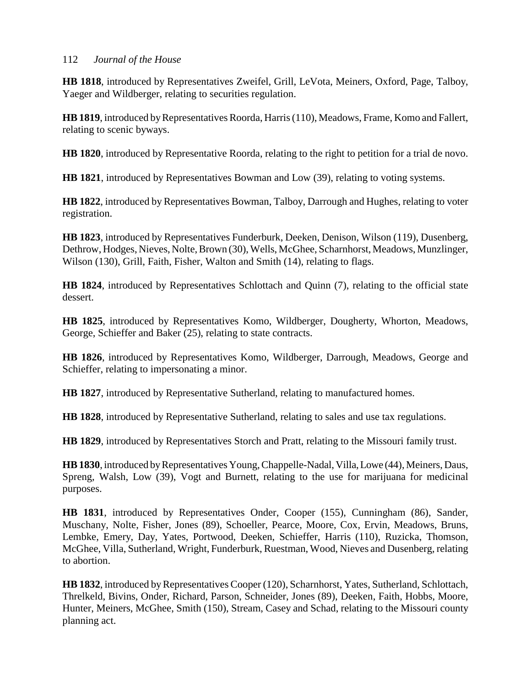**HB 1818**, introduced by Representatives Zweifel, Grill, LeVota, Meiners, Oxford, Page, Talboy, Yaeger and Wildberger, relating to securities regulation.

**HB 1819**, introduced by Representatives Roorda, Harris (110), Meadows, Frame, Komo and Fallert, relating to scenic byways.

**HB 1820**, introduced by Representative Roorda, relating to the right to petition for a trial de novo.

**HB 1821**, introduced by Representatives Bowman and Low (39), relating to voting systems.

**HB 1822**, introduced by Representatives Bowman, Talboy, Darrough and Hughes, relating to voter registration.

**HB 1823**, introduced by Representatives Funderburk, Deeken, Denison, Wilson (119), Dusenberg, Dethrow, Hodges, Nieves, Nolte, Brown (30), Wells, McGhee, Scharnhorst, Meadows, Munzlinger, Wilson (130), Grill, Faith, Fisher, Walton and Smith (14), relating to flags.

**HB 1824**, introduced by Representatives Schlottach and Quinn (7), relating to the official state dessert.

**HB 1825**, introduced by Representatives Komo, Wildberger, Dougherty, Whorton, Meadows, George, Schieffer and Baker (25), relating to state contracts.

**HB 1826**, introduced by Representatives Komo, Wildberger, Darrough, Meadows, George and Schieffer, relating to impersonating a minor.

**HB 1827**, introduced by Representative Sutherland, relating to manufactured homes.

**HB 1828**, introduced by Representative Sutherland, relating to sales and use tax regulations.

**HB 1829**, introduced by Representatives Storch and Pratt, relating to the Missouri family trust.

**HB 1830**, introduced by Representatives Young, Chappelle-Nadal, Villa, Lowe (44), Meiners, Daus, Spreng, Walsh, Low (39), Vogt and Burnett, relating to the use for marijuana for medicinal purposes.

**HB 1831**, introduced by Representatives Onder, Cooper (155), Cunningham (86), Sander, Muschany, Nolte, Fisher, Jones (89), Schoeller, Pearce, Moore, Cox, Ervin, Meadows, Bruns, Lembke, Emery, Day, Yates, Portwood, Deeken, Schieffer, Harris (110), Ruzicka, Thomson, McGhee, Villa, Sutherland, Wright, Funderburk, Ruestman, Wood, Nieves and Dusenberg, relating to abortion.

**HB 1832**, introduced by Representatives Cooper (120), Scharnhorst, Yates, Sutherland, Schlottach, Threlkeld, Bivins, Onder, Richard, Parson, Schneider, Jones (89), Deeken, Faith, Hobbs, Moore, Hunter, Meiners, McGhee, Smith (150), Stream, Casey and Schad, relating to the Missouri county planning act.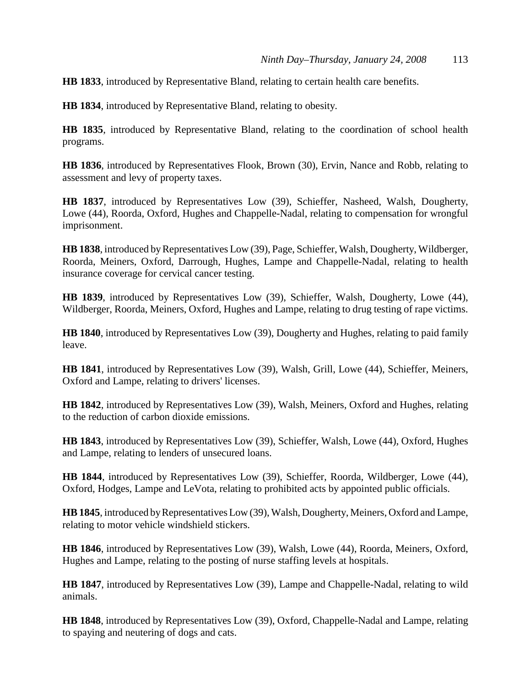**HB 1833**, introduced by Representative Bland, relating to certain health care benefits.

**HB 1834**, introduced by Representative Bland, relating to obesity.

**HB 1835**, introduced by Representative Bland, relating to the coordination of school health programs.

**HB 1836**, introduced by Representatives Flook, Brown (30), Ervin, Nance and Robb, relating to assessment and levy of property taxes.

**HB 1837**, introduced by Representatives Low (39), Schieffer, Nasheed, Walsh, Dougherty, Lowe (44), Roorda, Oxford, Hughes and Chappelle-Nadal, relating to compensation for wrongful imprisonment.

**HB 1838**, introduced by Representatives Low (39), Page, Schieffer, Walsh, Dougherty, Wildberger, Roorda, Meiners, Oxford, Darrough, Hughes, Lampe and Chappelle-Nadal, relating to health insurance coverage for cervical cancer testing.

**HB 1839**, introduced by Representatives Low (39), Schieffer, Walsh, Dougherty, Lowe (44), Wildberger, Roorda, Meiners, Oxford, Hughes and Lampe, relating to drug testing of rape victims.

**HB 1840**, introduced by Representatives Low (39), Dougherty and Hughes, relating to paid family leave.

**HB 1841**, introduced by Representatives Low (39), Walsh, Grill, Lowe (44), Schieffer, Meiners, Oxford and Lampe, relating to drivers' licenses.

**HB 1842**, introduced by Representatives Low (39), Walsh, Meiners, Oxford and Hughes, relating to the reduction of carbon dioxide emissions.

**HB 1843**, introduced by Representatives Low (39), Schieffer, Walsh, Lowe (44), Oxford, Hughes and Lampe, relating to lenders of unsecured loans.

**HB 1844**, introduced by Representatives Low (39), Schieffer, Roorda, Wildberger, Lowe (44), Oxford, Hodges, Lampe and LeVota, relating to prohibited acts by appointed public officials.

**HB 1845**, introduced by Representatives Low (39), Walsh, Dougherty, Meiners, Oxford and Lampe, relating to motor vehicle windshield stickers.

**HB 1846**, introduced by Representatives Low (39), Walsh, Lowe (44), Roorda, Meiners, Oxford, Hughes and Lampe, relating to the posting of nurse staffing levels at hospitals.

**HB 1847**, introduced by Representatives Low (39), Lampe and Chappelle-Nadal, relating to wild animals.

**HB 1848**, introduced by Representatives Low (39), Oxford, Chappelle-Nadal and Lampe, relating to spaying and neutering of dogs and cats.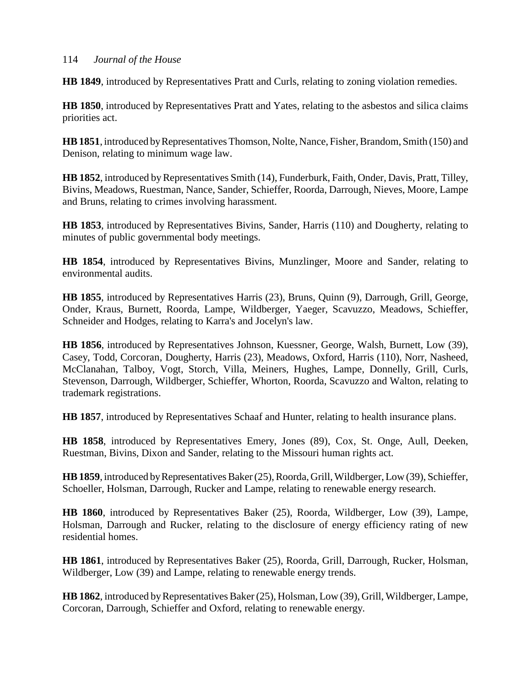**HB 1849**, introduced by Representatives Pratt and Curls, relating to zoning violation remedies.

**HB 1850**, introduced by Representatives Pratt and Yates, relating to the asbestos and silica claims priorities act.

**HB 1851**, introduced by Representatives Thomson, Nolte, Nance, Fisher, Brandom, Smith (150) and Denison, relating to minimum wage law.

**HB 1852**, introduced by Representatives Smith (14), Funderburk, Faith, Onder, Davis, Pratt, Tilley, Bivins, Meadows, Ruestman, Nance, Sander, Schieffer, Roorda, Darrough, Nieves, Moore, Lampe and Bruns, relating to crimes involving harassment.

**HB 1853**, introduced by Representatives Bivins, Sander, Harris (110) and Dougherty, relating to minutes of public governmental body meetings.

**HB 1854**, introduced by Representatives Bivins, Munzlinger, Moore and Sander, relating to environmental audits.

**HB 1855**, introduced by Representatives Harris (23), Bruns, Quinn (9), Darrough, Grill, George, Onder, Kraus, Burnett, Roorda, Lampe, Wildberger, Yaeger, Scavuzzo, Meadows, Schieffer, Schneider and Hodges, relating to Karra's and Jocelyn's law.

**HB 1856**, introduced by Representatives Johnson, Kuessner, George, Walsh, Burnett, Low (39), Casey, Todd, Corcoran, Dougherty, Harris (23), Meadows, Oxford, Harris (110), Norr, Nasheed, McClanahan, Talboy, Vogt, Storch, Villa, Meiners, Hughes, Lampe, Donnelly, Grill, Curls, Stevenson, Darrough, Wildberger, Schieffer, Whorton, Roorda, Scavuzzo and Walton, relating to trademark registrations.

**HB 1857**, introduced by Representatives Schaaf and Hunter, relating to health insurance plans.

**HB 1858**, introduced by Representatives Emery, Jones (89), Cox, St. Onge, Aull, Deeken, Ruestman, Bivins, Dixon and Sander, relating to the Missouri human rights act.

**HB 1859**, introduced by Representatives Baker (25), Roorda, Grill, Wildberger, Low (39), Schieffer, Schoeller, Holsman, Darrough, Rucker and Lampe, relating to renewable energy research.

**HB 1860**, introduced by Representatives Baker (25), Roorda, Wildberger, Low (39), Lampe, Holsman, Darrough and Rucker, relating to the disclosure of energy efficiency rating of new residential homes.

**HB 1861**, introduced by Representatives Baker (25), Roorda, Grill, Darrough, Rucker, Holsman, Wildberger, Low (39) and Lampe, relating to renewable energy trends.

**HB 1862**, introduced by Representatives Baker (25), Holsman, Low (39), Grill, Wildberger, Lampe, Corcoran, Darrough, Schieffer and Oxford, relating to renewable energy.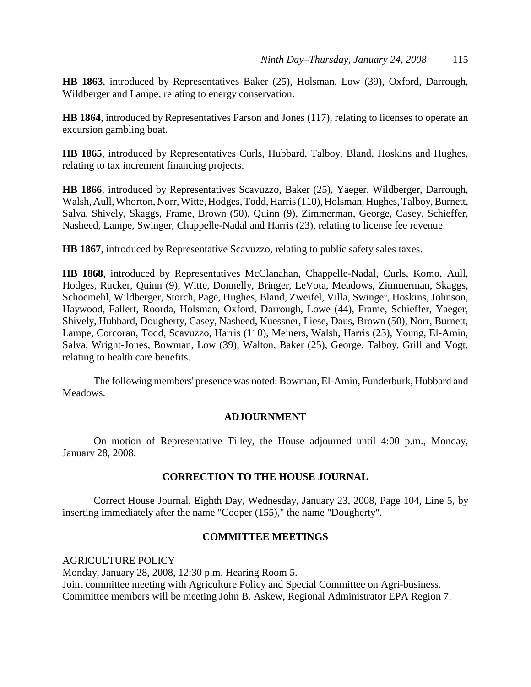**HB 1863**, introduced by Representatives Baker (25), Holsman, Low (39), Oxford, Darrough, Wildberger and Lampe, relating to energy conservation.

**HB 1864**, introduced by Representatives Parson and Jones (117), relating to licenses to operate an excursion gambling boat.

**HB 1865**, introduced by Representatives Curls, Hubbard, Talboy, Bland, Hoskins and Hughes, relating to tax increment financing projects.

**HB 1866**, introduced by Representatives Scavuzzo, Baker (25), Yaeger, Wildberger, Darrough, Walsh, Aull, Whorton, Norr, Witte, Hodges, Todd, Harris (110), Holsman, Hughes, Talboy, Burnett, Salva, Shively, Skaggs, Frame, Brown (50), Quinn (9), Zimmerman, George, Casey, Schieffer, Nasheed, Lampe, Swinger, Chappelle-Nadal and Harris (23), relating to license fee revenue.

**HB 1867**, introduced by Representative Scavuzzo, relating to public safety sales taxes.

**HB 1868**, introduced by Representatives McClanahan, Chappelle-Nadal, Curls, Komo, Aull, Hodges, Rucker, Quinn (9), Witte, Donnelly, Bringer, LeVota, Meadows, Zimmerman, Skaggs, Schoemehl, Wildberger, Storch, Page, Hughes, Bland, Zweifel, Villa, Swinger, Hoskins, Johnson, Haywood, Fallert, Roorda, Holsman, Oxford, Darrough, Lowe (44), Frame, Schieffer, Yaeger, Shively, Hubbard, Dougherty, Casey, Nasheed, Kuessner, Liese, Daus, Brown (50), Norr, Burnett, Lampe, Corcoran, Todd, Scavuzzo, Harris (110), Meiners, Walsh, Harris (23), Young, El-Amin, Salva, Wright-Jones, Bowman, Low (39), Walton, Baker (25), George, Talboy, Grill and Vogt, relating to health care benefits.

The following members' presence was noted: Bowman, El-Amin, Funderburk, Hubbard and Meadows.

## **ADJOURNMENT**

On motion of Representative Tilley, the House adjourned until 4:00 p.m., Monday, January 28, 2008.

## **CORRECTION TO THE HOUSE JOURNAL**

Correct House Journal, Eighth Day, Wednesday, January 23, 2008, Page 104, Line 5, by inserting immediately after the name "Cooper (155)," the name "Dougherty".

## **COMMITTEE MEETINGS**

AGRICULTURE POLICY Monday, January 28, 2008, 12:30 p.m. Hearing Room 5. Joint committee meeting with Agriculture Policy and Special Committee on Agri-business. Committee members will be meeting John B. Askew, Regional Administrator EPA Region 7.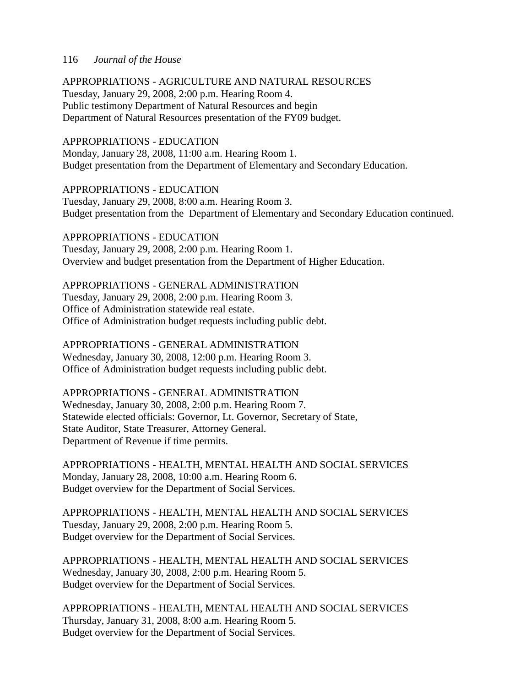APPROPRIATIONS - AGRICULTURE AND NATURAL RESOURCES

Tuesday, January 29, 2008, 2:00 p.m. Hearing Room 4. Public testimony Department of Natural Resources and begin Department of Natural Resources presentation of the FY09 budget.

### APPROPRIATIONS - EDUCATION

Monday, January 28, 2008, 11:00 a.m. Hearing Room 1. Budget presentation from the Department of Elementary and Secondary Education.

APPROPRIATIONS - EDUCATION Tuesday, January 29, 2008, 8:00 a.m. Hearing Room 3. Budget presentation from the Department of Elementary and Secondary Education continued.

## APPROPRIATIONS - EDUCATION

Tuesday, January 29, 2008, 2:00 p.m. Hearing Room 1. Overview and budget presentation from the Department of Higher Education.

### APPROPRIATIONS - GENERAL ADMINISTRATION

Tuesday, January 29, 2008, 2:00 p.m. Hearing Room 3. Office of Administration statewide real estate. Office of Administration budget requests including public debt.

# APPROPRIATIONS - GENERAL ADMINISTRATION

Wednesday, January 30, 2008, 12:00 p.m. Hearing Room 3. Office of Administration budget requests including public debt.

## APPROPRIATIONS - GENERAL ADMINISTRATION

Wednesday, January 30, 2008, 2:00 p.m. Hearing Room 7. Statewide elected officials: Governor, Lt. Governor, Secretary of State, State Auditor, State Treasurer, Attorney General. Department of Revenue if time permits.

APPROPRIATIONS - HEALTH, MENTAL HEALTH AND SOCIAL SERVICES Monday, January 28, 2008, 10:00 a.m. Hearing Room 6. Budget overview for the Department of Social Services.

APPROPRIATIONS - HEALTH, MENTAL HEALTH AND SOCIAL SERVICES Tuesday, January 29, 2008, 2:00 p.m. Hearing Room 5. Budget overview for the Department of Social Services.

APPROPRIATIONS - HEALTH, MENTAL HEALTH AND SOCIAL SERVICES Wednesday, January 30, 2008, 2:00 p.m. Hearing Room 5. Budget overview for the Department of Social Services.

APPROPRIATIONS - HEALTH, MENTAL HEALTH AND SOCIAL SERVICES Thursday, January 31, 2008, 8:00 a.m. Hearing Room 5. Budget overview for the Department of Social Services.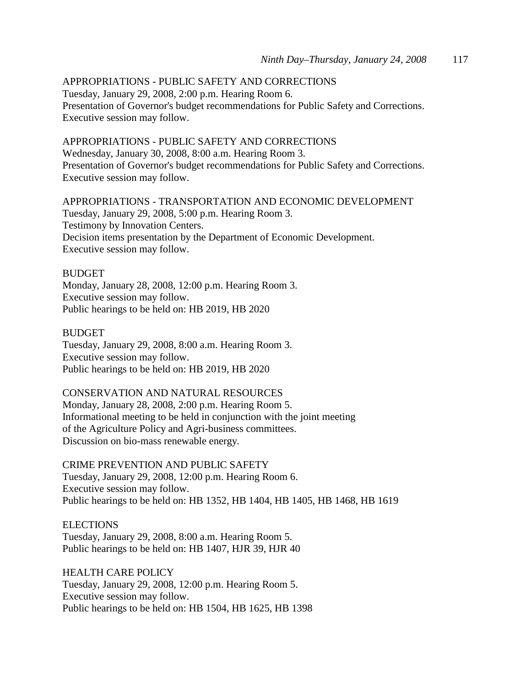# APPROPRIATIONS - PUBLIC SAFETY AND CORRECTIONS

Tuesday, January 29, 2008, 2:00 p.m. Hearing Room 6. Presentation of Governor's budget recommendations for Public Safety and Corrections. Executive session may follow.

## APPROPRIATIONS - PUBLIC SAFETY AND CORRECTIONS

Wednesday, January 30, 2008, 8:00 a.m. Hearing Room 3. Presentation of Governor's budget recommendations for Public Safety and Corrections. Executive session may follow.

APPROPRIATIONS - TRANSPORTATION AND ECONOMIC DEVELOPMENT Tuesday, January 29, 2008, 5:00 p.m. Hearing Room 3. Testimony by Innovation Centers. Decision items presentation by the Department of Economic Development. Executive session may follow.

#### **BUDGET**

Monday, January 28, 2008, 12:00 p.m. Hearing Room 3. Executive session may follow. Public hearings to be held on: HB 2019, HB 2020

#### BUDGET

Tuesday, January 29, 2008, 8:00 a.m. Hearing Room 3. Executive session may follow. Public hearings to be held on: HB 2019, HB 2020

## CONSERVATION AND NATURAL RESOURCES

Monday, January 28, 2008, 2:00 p.m. Hearing Room 5. Informational meeting to be held in conjunction with the joint meeting of the Agriculture Policy and Agri-business committees. Discussion on bio-mass renewable energy.

## CRIME PREVENTION AND PUBLIC SAFETY

Tuesday, January 29, 2008, 12:00 p.m. Hearing Room 6. Executive session may follow. Public hearings to be held on: HB 1352, HB 1404, HB 1405, HB 1468, HB 1619

#### **ELECTIONS**

Tuesday, January 29, 2008, 8:00 a.m. Hearing Room 5. Public hearings to be held on: HB 1407, HJR 39, HJR 40

HEALTH CARE POLICY Tuesday, January 29, 2008, 12:00 p.m. Hearing Room 5. Executive session may follow. Public hearings to be held on: HB 1504, HB 1625, HB 1398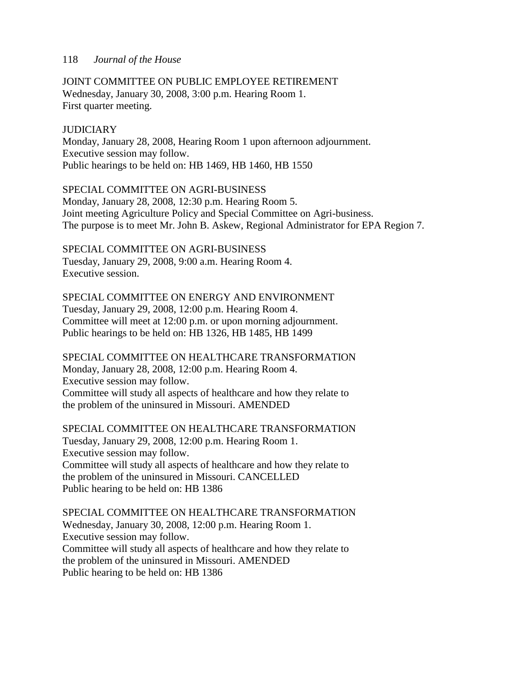JOINT COMMITTEE ON PUBLIC EMPLOYEE RETIREMENT Wednesday, January 30, 2008, 3:00 p.m. Hearing Room 1. First quarter meeting.

## **JUDICIARY**

Monday, January 28, 2008, Hearing Room 1 upon afternoon adjournment. Executive session may follow. Public hearings to be held on: HB 1469, HB 1460, HB 1550

SPECIAL COMMITTEE ON AGRI-BUSINESS Monday, January 28, 2008, 12:30 p.m. Hearing Room 5. Joint meeting Agriculture Policy and Special Committee on Agri-business. The purpose is to meet Mr. John B. Askew, Regional Administrator for EPA Region 7.

SPECIAL COMMITTEE ON AGRI-BUSINESS Tuesday, January 29, 2008, 9:00 a.m. Hearing Room 4. Executive session.

## SPECIAL COMMITTEE ON ENERGY AND ENVIRONMENT

Tuesday, January 29, 2008, 12:00 p.m. Hearing Room 4. Committee will meet at 12:00 p.m. or upon morning adjournment. Public hearings to be held on: HB 1326, HB 1485, HB 1499

SPECIAL COMMITTEE ON HEALTHCARE TRANSFORMATION Monday, January 28, 2008, 12:00 p.m. Hearing Room 4. Executive session may follow. Committee will study all aspects of healthcare and how they relate to the problem of the uninsured in Missouri. AMENDED

SPECIAL COMMITTEE ON HEALTHCARE TRANSFORMATION Tuesday, January 29, 2008, 12:00 p.m. Hearing Room 1. Executive session may follow. Committee will study all aspects of healthcare and how they relate to the problem of the uninsured in Missouri. CANCELLED Public hearing to be held on: HB 1386

SPECIAL COMMITTEE ON HEALTHCARE TRANSFORMATION Wednesday, January 30, 2008, 12:00 p.m. Hearing Room 1. Executive session may follow. Committee will study all aspects of healthcare and how they relate to the problem of the uninsured in Missouri. AMENDED Public hearing to be held on: HB 1386